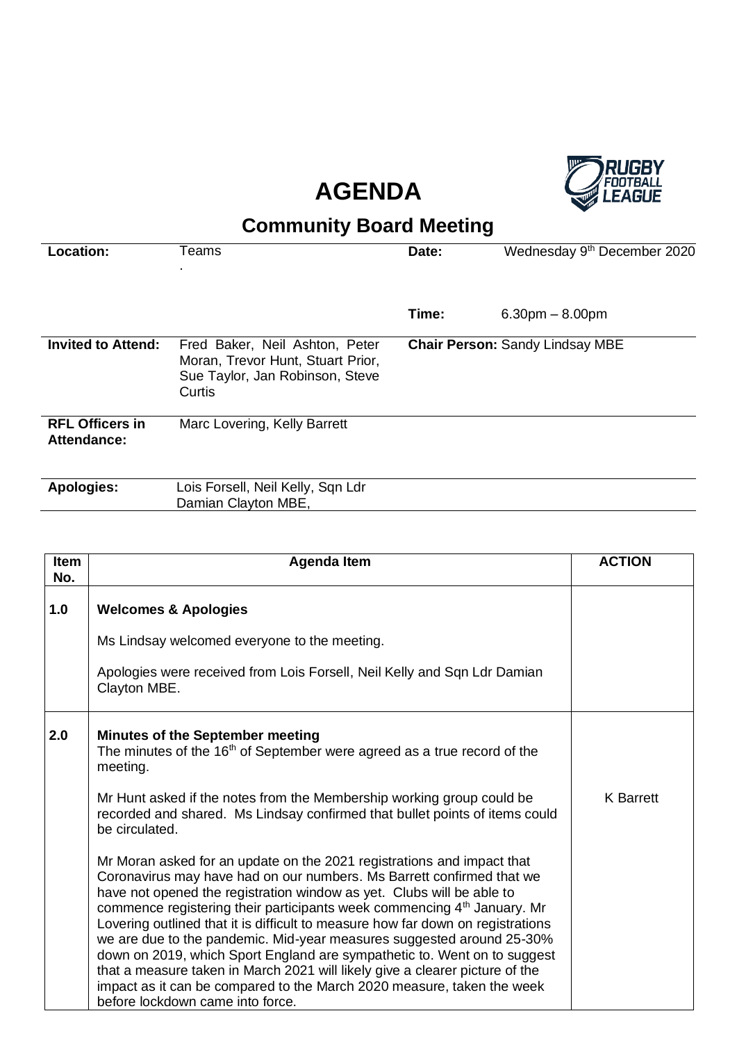## **AGENDA**



## **Community Board Meeting**

| Location:                             | Teams                                                                                                            | Date: | Wednesday 9 <sup>th</sup> December 2020 |
|---------------------------------------|------------------------------------------------------------------------------------------------------------------|-------|-----------------------------------------|
|                                       |                                                                                                                  |       |                                         |
|                                       |                                                                                                                  | Time: | $6.30pm - 8.00pm$                       |
| <b>Invited to Attend:</b>             | Fred Baker, Neil Ashton, Peter<br>Moran, Trevor Hunt, Stuart Prior,<br>Sue Taylor, Jan Robinson, Steve<br>Curtis |       | <b>Chair Person: Sandy Lindsay MBE</b>  |
| <b>RFL Officers in</b><br>Attendance: | Marc Lovering, Kelly Barrett                                                                                     |       |                                         |
| <b>Apologies:</b>                     | Lois Forsell, Neil Kelly, Sqn Ldr<br>Damian Clayton MBE,                                                         |       |                                         |

| <b>Item</b><br>No. | <b>Agenda Item</b>                                                                                                                                                                                                                                                                                                                                                                                                                                                                                                                                                                                                                                                                                                                                    | <b>ACTION</b>    |
|--------------------|-------------------------------------------------------------------------------------------------------------------------------------------------------------------------------------------------------------------------------------------------------------------------------------------------------------------------------------------------------------------------------------------------------------------------------------------------------------------------------------------------------------------------------------------------------------------------------------------------------------------------------------------------------------------------------------------------------------------------------------------------------|------------------|
| 1.0                | <b>Welcomes &amp; Apologies</b>                                                                                                                                                                                                                                                                                                                                                                                                                                                                                                                                                                                                                                                                                                                       |                  |
|                    | Ms Lindsay welcomed everyone to the meeting.                                                                                                                                                                                                                                                                                                                                                                                                                                                                                                                                                                                                                                                                                                          |                  |
|                    | Apologies were received from Lois Forsell, Neil Kelly and Sqn Ldr Damian<br>Clayton MBE.                                                                                                                                                                                                                                                                                                                                                                                                                                                                                                                                                                                                                                                              |                  |
| 2.0                | <b>Minutes of the September meeting</b><br>The minutes of the 16 <sup>th</sup> of September were agreed as a true record of the<br>meeting.                                                                                                                                                                                                                                                                                                                                                                                                                                                                                                                                                                                                           |                  |
|                    | Mr Hunt asked if the notes from the Membership working group could be<br>recorded and shared. Ms Lindsay confirmed that bullet points of items could<br>be circulated.                                                                                                                                                                                                                                                                                                                                                                                                                                                                                                                                                                                | <b>K</b> Barrett |
|                    | Mr Moran asked for an update on the 2021 registrations and impact that<br>Coronavirus may have had on our numbers. Ms Barrett confirmed that we<br>have not opened the registration window as yet. Clubs will be able to<br>commence registering their participants week commencing 4 <sup>th</sup> January. Mr<br>Lovering outlined that it is difficult to measure how far down on registrations<br>we are due to the pandemic. Mid-year measures suggested around 25-30%<br>down on 2019, which Sport England are sympathetic to. Went on to suggest<br>that a measure taken in March 2021 will likely give a clearer picture of the<br>impact as it can be compared to the March 2020 measure, taken the week<br>before lockdown came into force. |                  |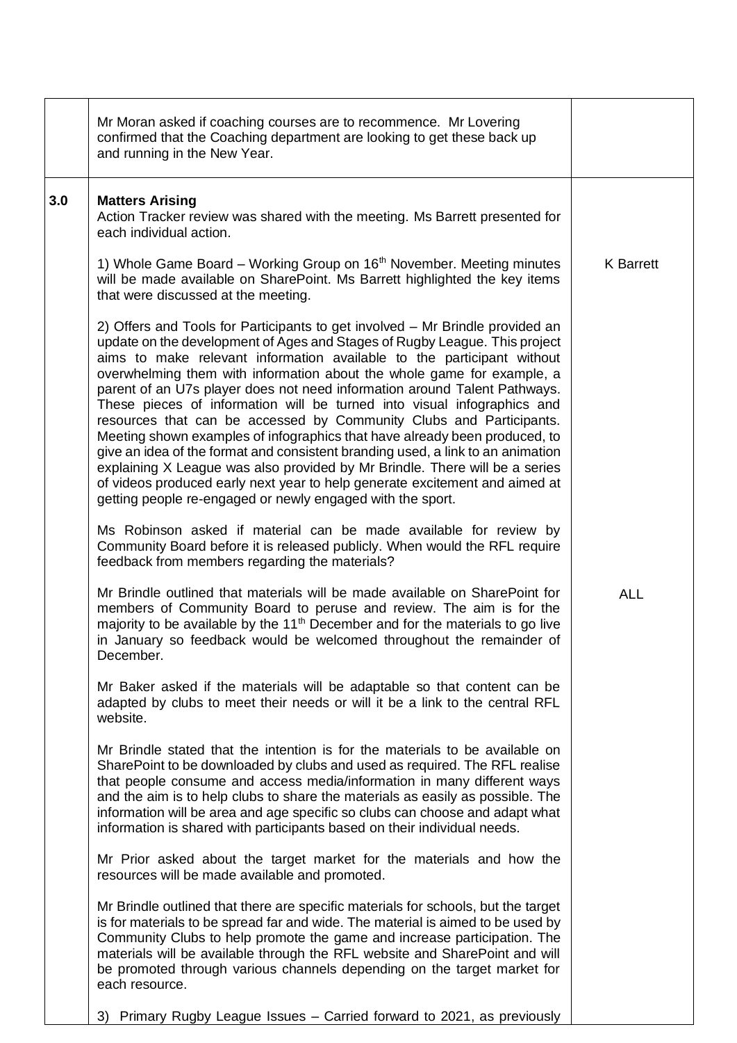|     | Mr Moran asked if coaching courses are to recommence. Mr Lovering<br>confirmed that the Coaching department are looking to get these back up<br>and running in the New Year.                                                                                                                                                                                                                                                                                                                                                                                                                                                                                                                                                                                                                                                                                                                                                                |                  |
|-----|---------------------------------------------------------------------------------------------------------------------------------------------------------------------------------------------------------------------------------------------------------------------------------------------------------------------------------------------------------------------------------------------------------------------------------------------------------------------------------------------------------------------------------------------------------------------------------------------------------------------------------------------------------------------------------------------------------------------------------------------------------------------------------------------------------------------------------------------------------------------------------------------------------------------------------------------|------------------|
| 3.0 | <b>Matters Arising</b><br>Action Tracker review was shared with the meeting. Ms Barrett presented for<br>each individual action.                                                                                                                                                                                                                                                                                                                                                                                                                                                                                                                                                                                                                                                                                                                                                                                                            |                  |
|     | 1) Whole Game Board – Working Group on 16 <sup>th</sup> November. Meeting minutes<br>will be made available on SharePoint. Ms Barrett highlighted the key items<br>that were discussed at the meeting.                                                                                                                                                                                                                                                                                                                                                                                                                                                                                                                                                                                                                                                                                                                                      | <b>K</b> Barrett |
|     | 2) Offers and Tools for Participants to get involved – Mr Brindle provided an<br>update on the development of Ages and Stages of Rugby League. This project<br>aims to make relevant information available to the participant without<br>overwhelming them with information about the whole game for example, a<br>parent of an U7s player does not need information around Talent Pathways.<br>These pieces of information will be turned into visual infographics and<br>resources that can be accessed by Community Clubs and Participants.<br>Meeting shown examples of infographics that have already been produced, to<br>give an idea of the format and consistent branding used, a link to an animation<br>explaining X League was also provided by Mr Brindle. There will be a series<br>of videos produced early next year to help generate excitement and aimed at<br>getting people re-engaged or newly engaged with the sport. |                  |
|     | Ms Robinson asked if material can be made available for review by<br>Community Board before it is released publicly. When would the RFL require<br>feedback from members regarding the materials?                                                                                                                                                                                                                                                                                                                                                                                                                                                                                                                                                                                                                                                                                                                                           |                  |
|     | Mr Brindle outlined that materials will be made available on SharePoint for<br>members of Community Board to peruse and review. The aim is for the<br>majority to be available by the 11 <sup>th</sup> December and for the materials to go live<br>in January so feedback would be welcomed throughout the remainder of<br>December.                                                                                                                                                                                                                                                                                                                                                                                                                                                                                                                                                                                                       | <b>ALL</b>       |
|     | Mr Baker asked if the materials will be adaptable so that content can be<br>adapted by clubs to meet their needs or will it be a link to the central RFL<br>website.                                                                                                                                                                                                                                                                                                                                                                                                                                                                                                                                                                                                                                                                                                                                                                        |                  |
|     | Mr Brindle stated that the intention is for the materials to be available on<br>SharePoint to be downloaded by clubs and used as required. The RFL realise<br>that people consume and access media/information in many different ways<br>and the aim is to help clubs to share the materials as easily as possible. The<br>information will be area and age specific so clubs can choose and adapt what<br>information is shared with participants based on their individual needs.                                                                                                                                                                                                                                                                                                                                                                                                                                                         |                  |
|     | Mr Prior asked about the target market for the materials and how the<br>resources will be made available and promoted.                                                                                                                                                                                                                                                                                                                                                                                                                                                                                                                                                                                                                                                                                                                                                                                                                      |                  |
|     | Mr Brindle outlined that there are specific materials for schools, but the target<br>is for materials to be spread far and wide. The material is aimed to be used by<br>Community Clubs to help promote the game and increase participation. The<br>materials will be available through the RFL website and SharePoint and will<br>be promoted through various channels depending on the target market for<br>each resource.                                                                                                                                                                                                                                                                                                                                                                                                                                                                                                                |                  |
|     | Primary Rugby League Issues - Carried forward to 2021, as previously<br>3)                                                                                                                                                                                                                                                                                                                                                                                                                                                                                                                                                                                                                                                                                                                                                                                                                                                                  |                  |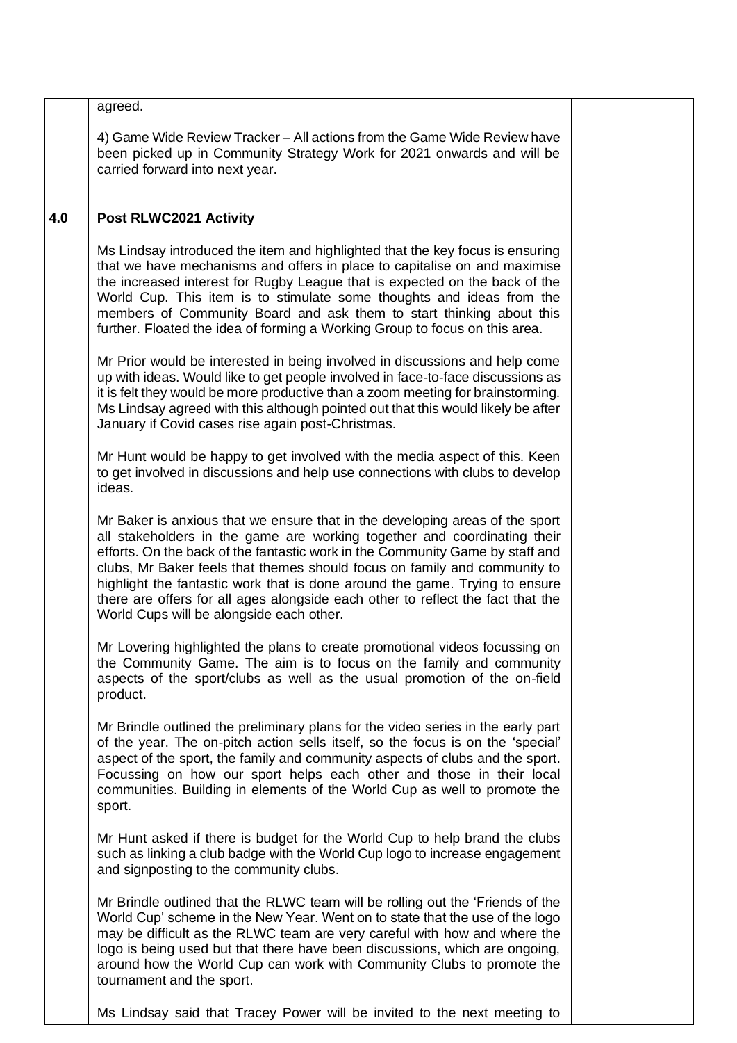|     | agreed.                                                                                                                                                                                                                                                                                                                                                                                                                                                                                                                              |  |
|-----|--------------------------------------------------------------------------------------------------------------------------------------------------------------------------------------------------------------------------------------------------------------------------------------------------------------------------------------------------------------------------------------------------------------------------------------------------------------------------------------------------------------------------------------|--|
|     | 4) Game Wide Review Tracker – All actions from the Game Wide Review have<br>been picked up in Community Strategy Work for 2021 onwards and will be<br>carried forward into next year.                                                                                                                                                                                                                                                                                                                                                |  |
| 4.0 | Post RLWC2021 Activity                                                                                                                                                                                                                                                                                                                                                                                                                                                                                                               |  |
|     | Ms Lindsay introduced the item and highlighted that the key focus is ensuring<br>that we have mechanisms and offers in place to capitalise on and maximise<br>the increased interest for Rugby League that is expected on the back of the<br>World Cup. This item is to stimulate some thoughts and ideas from the<br>members of Community Board and ask them to start thinking about this<br>further. Floated the idea of forming a Working Group to focus on this area.                                                            |  |
|     | Mr Prior would be interested in being involved in discussions and help come<br>up with ideas. Would like to get people involved in face-to-face discussions as<br>it is felt they would be more productive than a zoom meeting for brainstorming.<br>Ms Lindsay agreed with this although pointed out that this would likely be after<br>January if Covid cases rise again post-Christmas.                                                                                                                                           |  |
|     | Mr Hunt would be happy to get involved with the media aspect of this. Keen<br>to get involved in discussions and help use connections with clubs to develop<br>ideas.                                                                                                                                                                                                                                                                                                                                                                |  |
|     | Mr Baker is anxious that we ensure that in the developing areas of the sport<br>all stakeholders in the game are working together and coordinating their<br>efforts. On the back of the fantastic work in the Community Game by staff and<br>clubs, Mr Baker feels that themes should focus on family and community to<br>highlight the fantastic work that is done around the game. Trying to ensure<br>there are offers for all ages alongside each other to reflect the fact that the<br>World Cups will be alongside each other. |  |
|     | Mr Lovering highlighted the plans to create promotional videos focussing on<br>the Community Game. The aim is to focus on the family and community<br>aspects of the sport/clubs as well as the usual promotion of the on-field<br>product.                                                                                                                                                                                                                                                                                          |  |
|     | Mr Brindle outlined the preliminary plans for the video series in the early part<br>of the year. The on-pitch action sells itself, so the focus is on the 'special'<br>aspect of the sport, the family and community aspects of clubs and the sport.<br>Focussing on how our sport helps each other and those in their local<br>communities. Building in elements of the World Cup as well to promote the<br>sport.                                                                                                                  |  |
|     | Mr Hunt asked if there is budget for the World Cup to help brand the clubs<br>such as linking a club badge with the World Cup logo to increase engagement<br>and signposting to the community clubs.                                                                                                                                                                                                                                                                                                                                 |  |
|     | Mr Brindle outlined that the RLWC team will be rolling out the 'Friends of the<br>World Cup' scheme in the New Year. Went on to state that the use of the logo<br>may be difficult as the RLWC team are very careful with how and where the<br>logo is being used but that there have been discussions, which are ongoing,<br>around how the World Cup can work with Community Clubs to promote the<br>tournament and the sport.                                                                                                     |  |
|     | Ms Lindsay said that Tracey Power will be invited to the next meeting to                                                                                                                                                                                                                                                                                                                                                                                                                                                             |  |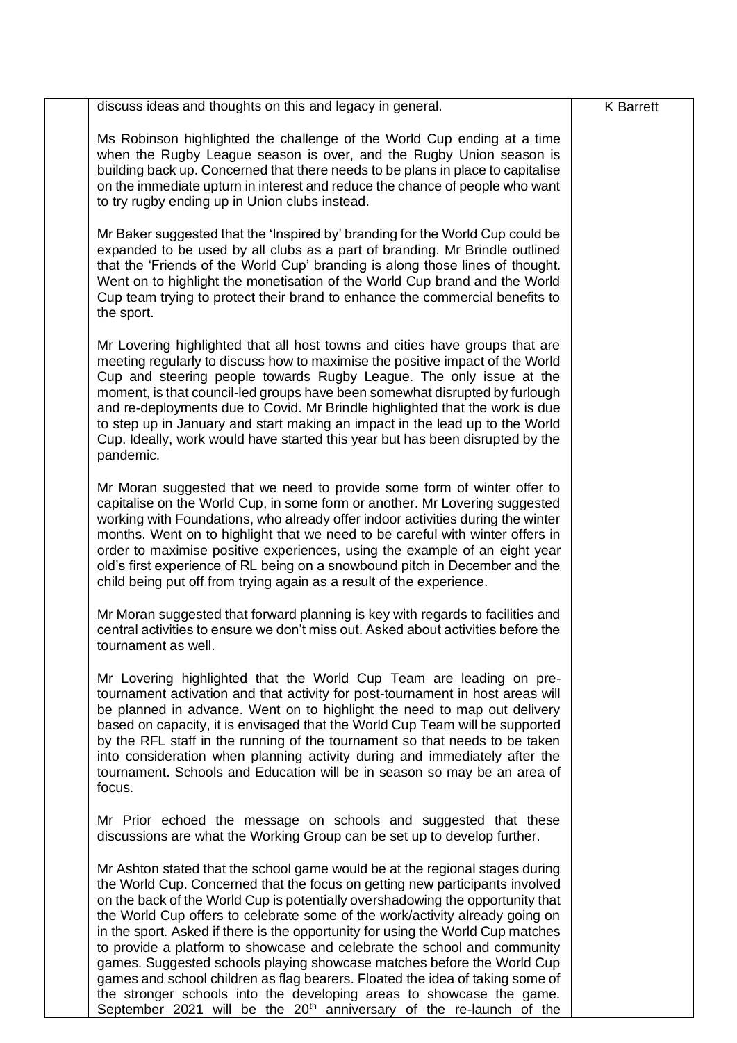| discuss ideas and thoughts on this and legacy in general.                                                                                                                                                                                                                                                                                                                                                                                                                                                                                                                                                                                                                                                                                                                                                           | <b>K</b> Barrett |
|---------------------------------------------------------------------------------------------------------------------------------------------------------------------------------------------------------------------------------------------------------------------------------------------------------------------------------------------------------------------------------------------------------------------------------------------------------------------------------------------------------------------------------------------------------------------------------------------------------------------------------------------------------------------------------------------------------------------------------------------------------------------------------------------------------------------|------------------|
| Ms Robinson highlighted the challenge of the World Cup ending at a time<br>when the Rugby League season is over, and the Rugby Union season is<br>building back up. Concerned that there needs to be plans in place to capitalise<br>on the immediate upturn in interest and reduce the chance of people who want<br>to try rugby ending up in Union clubs instead.                                                                                                                                                                                                                                                                                                                                                                                                                                                 |                  |
| Mr Baker suggested that the 'Inspired by' branding for the World Cup could be<br>expanded to be used by all clubs as a part of branding. Mr Brindle outlined<br>that the 'Friends of the World Cup' branding is along those lines of thought.<br>Went on to highlight the monetisation of the World Cup brand and the World<br>Cup team trying to protect their brand to enhance the commercial benefits to<br>the sport.                                                                                                                                                                                                                                                                                                                                                                                           |                  |
| Mr Lovering highlighted that all host towns and cities have groups that are<br>meeting regularly to discuss how to maximise the positive impact of the World<br>Cup and steering people towards Rugby League. The only issue at the<br>moment, is that council-led groups have been somewhat disrupted by furlough<br>and re-deployments due to Covid. Mr Brindle highlighted that the work is due<br>to step up in January and start making an impact in the lead up to the World<br>Cup. Ideally, work would have started this year but has been disrupted by the<br>pandemic.                                                                                                                                                                                                                                    |                  |
| Mr Moran suggested that we need to provide some form of winter offer to<br>capitalise on the World Cup, in some form or another. Mr Lovering suggested<br>working with Foundations, who already offer indoor activities during the winter<br>months. Went on to highlight that we need to be careful with winter offers in<br>order to maximise positive experiences, using the example of an eight year<br>old's first experience of RL being on a snowbound pitch in December and the<br>child being put off from trying again as a result of the experience.                                                                                                                                                                                                                                                     |                  |
| Mr Moran suggested that forward planning is key with regards to facilities and<br>central activities to ensure we don't miss out. Asked about activities before the<br>tournament as well.                                                                                                                                                                                                                                                                                                                                                                                                                                                                                                                                                                                                                          |                  |
| Mr Lovering highlighted that the World Cup Team are leading on pre-<br>tournament activation and that activity for post-tournament in host areas will<br>be planned in advance. Went on to highlight the need to map out delivery<br>based on capacity, it is envisaged that the World Cup Team will be supported<br>by the RFL staff in the running of the tournament so that needs to be taken<br>into consideration when planning activity during and immediately after the<br>tournament. Schools and Education will be in season so may be an area of<br>focus.                                                                                                                                                                                                                                                |                  |
| Mr Prior echoed the message on schools and suggested that these<br>discussions are what the Working Group can be set up to develop further.                                                                                                                                                                                                                                                                                                                                                                                                                                                                                                                                                                                                                                                                         |                  |
| Mr Ashton stated that the school game would be at the regional stages during<br>the World Cup. Concerned that the focus on getting new participants involved<br>on the back of the World Cup is potentially overshadowing the opportunity that<br>the World Cup offers to celebrate some of the work/activity already going on<br>in the sport. Asked if there is the opportunity for using the World Cup matches<br>to provide a platform to showcase and celebrate the school and community<br>games. Suggested schools playing showcase matches before the World Cup<br>games and school children as flag bearers. Floated the idea of taking some of<br>the stronger schools into the developing areas to showcase the game.<br>September 2021 will be the 20 <sup>th</sup> anniversary of the re-launch of the |                  |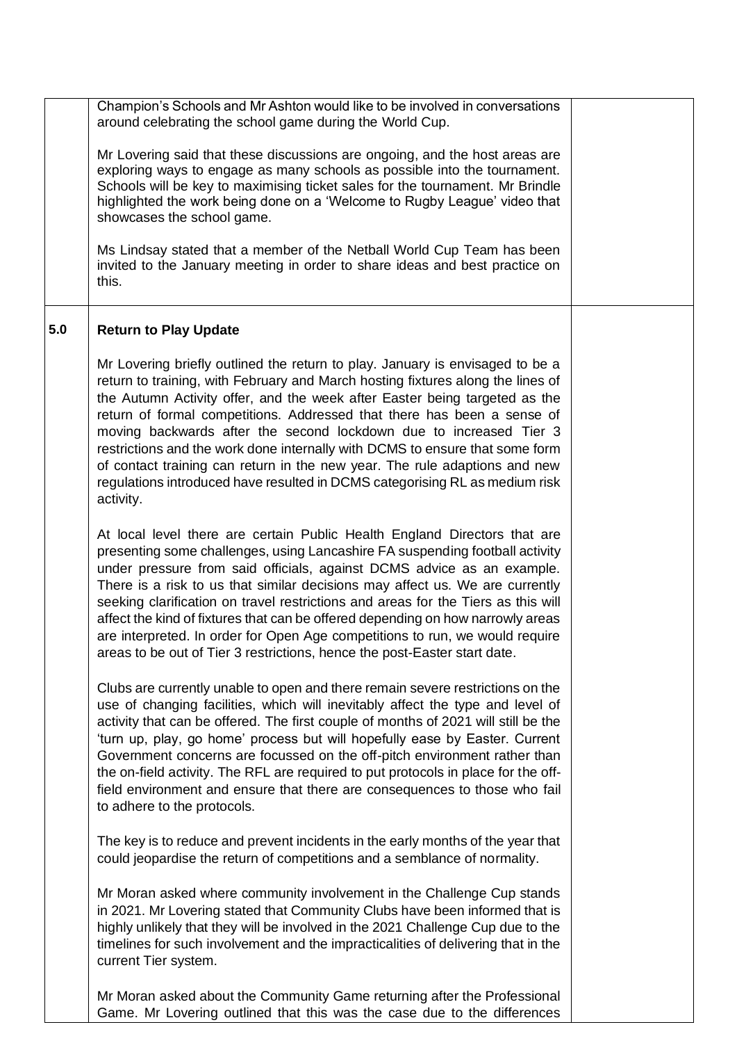|     | Champion's Schools and Mr Ashton would like to be involved in conversations<br>around celebrating the school game during the World Cup.                                                                                                                                                                                                                                                                                                                                                                                                                                                                                                                   |  |
|-----|-----------------------------------------------------------------------------------------------------------------------------------------------------------------------------------------------------------------------------------------------------------------------------------------------------------------------------------------------------------------------------------------------------------------------------------------------------------------------------------------------------------------------------------------------------------------------------------------------------------------------------------------------------------|--|
|     | Mr Lovering said that these discussions are ongoing, and the host areas are<br>exploring ways to engage as many schools as possible into the tournament.<br>Schools will be key to maximising ticket sales for the tournament. Mr Brindle<br>highlighted the work being done on a 'Welcome to Rugby League' video that<br>showcases the school game.                                                                                                                                                                                                                                                                                                      |  |
|     | Ms Lindsay stated that a member of the Netball World Cup Team has been<br>invited to the January meeting in order to share ideas and best practice on<br>this.                                                                                                                                                                                                                                                                                                                                                                                                                                                                                            |  |
| 5.0 | <b>Return to Play Update</b>                                                                                                                                                                                                                                                                                                                                                                                                                                                                                                                                                                                                                              |  |
|     | Mr Lovering briefly outlined the return to play. January is envisaged to be a<br>return to training, with February and March hosting fixtures along the lines of<br>the Autumn Activity offer, and the week after Easter being targeted as the<br>return of formal competitions. Addressed that there has been a sense of<br>moving backwards after the second lockdown due to increased Tier 3<br>restrictions and the work done internally with DCMS to ensure that some form<br>of contact training can return in the new year. The rule adaptions and new<br>regulations introduced have resulted in DCMS categorising RL as medium risk<br>activity. |  |
|     | At local level there are certain Public Health England Directors that are<br>presenting some challenges, using Lancashire FA suspending football activity<br>under pressure from said officials, against DCMS advice as an example.<br>There is a risk to us that similar decisions may affect us. We are currently<br>seeking clarification on travel restrictions and areas for the Tiers as this will<br>affect the kind of fixtures that can be offered depending on how narrowly areas<br>are interpreted. In order for Open Age competitions to run, we would require<br>areas to be out of Tier 3 restrictions, hence the post-Easter start date.  |  |
|     | Clubs are currently unable to open and there remain severe restrictions on the<br>use of changing facilities, which will inevitably affect the type and level of<br>activity that can be offered. The first couple of months of 2021 will still be the<br>'turn up, play, go home' process but will hopefully ease by Easter. Current<br>Government concerns are focussed on the off-pitch environment rather than<br>the on-field activity. The RFL are required to put protocols in place for the off-<br>field environment and ensure that there are consequences to those who fail<br>to adhere to the protocols.                                     |  |
|     | The key is to reduce and prevent incidents in the early months of the year that<br>could jeopardise the return of competitions and a semblance of normality.                                                                                                                                                                                                                                                                                                                                                                                                                                                                                              |  |
|     | Mr Moran asked where community involvement in the Challenge Cup stands<br>in 2021. Mr Lovering stated that Community Clubs have been informed that is<br>highly unlikely that they will be involved in the 2021 Challenge Cup due to the<br>timelines for such involvement and the impracticalities of delivering that in the<br>current Tier system.                                                                                                                                                                                                                                                                                                     |  |
|     | Mr Moran asked about the Community Game returning after the Professional<br>Game. Mr Lovering outlined that this was the case due to the differences                                                                                                                                                                                                                                                                                                                                                                                                                                                                                                      |  |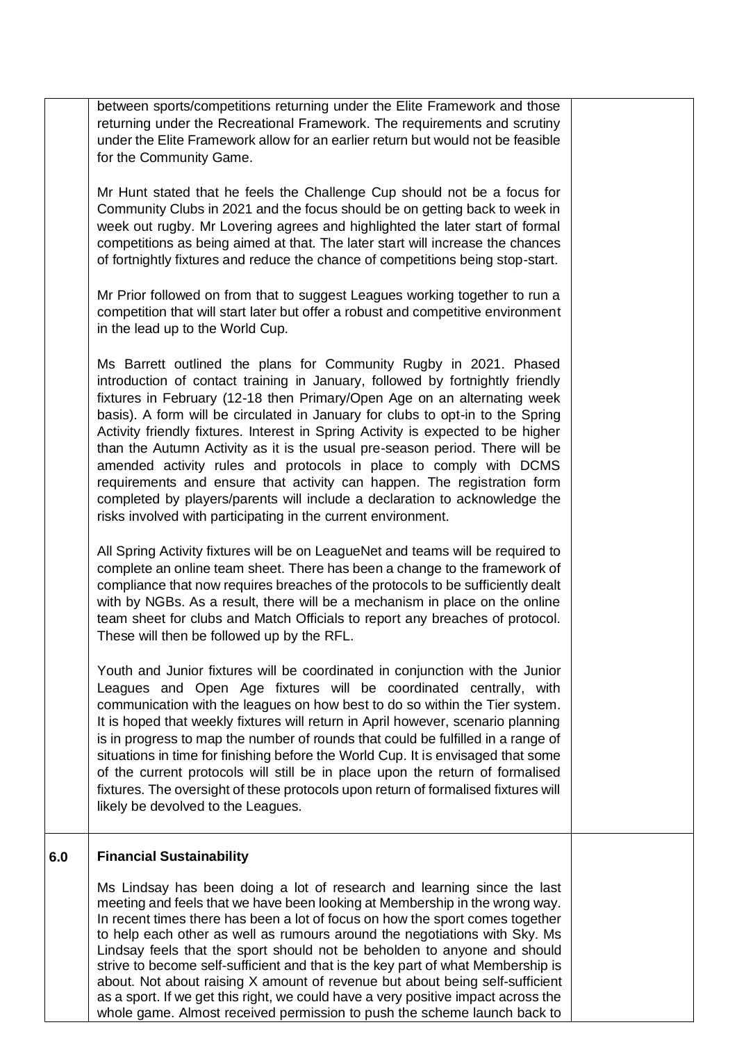|     | between sports/competitions returning under the Elite Framework and those<br>returning under the Recreational Framework. The requirements and scrutiny<br>under the Elite Framework allow for an earlier return but would not be feasible<br>for the Community Game.                                                                                                                                                                                                                                                                                                                                                                                                                                                                                                                |  |
|-----|-------------------------------------------------------------------------------------------------------------------------------------------------------------------------------------------------------------------------------------------------------------------------------------------------------------------------------------------------------------------------------------------------------------------------------------------------------------------------------------------------------------------------------------------------------------------------------------------------------------------------------------------------------------------------------------------------------------------------------------------------------------------------------------|--|
|     | Mr Hunt stated that he feels the Challenge Cup should not be a focus for<br>Community Clubs in 2021 and the focus should be on getting back to week in<br>week out rugby. Mr Lovering agrees and highlighted the later start of formal<br>competitions as being aimed at that. The later start will increase the chances<br>of fortnightly fixtures and reduce the chance of competitions being stop-start.                                                                                                                                                                                                                                                                                                                                                                         |  |
|     | Mr Prior followed on from that to suggest Leagues working together to run a<br>competition that will start later but offer a robust and competitive environment<br>in the lead up to the World Cup.                                                                                                                                                                                                                                                                                                                                                                                                                                                                                                                                                                                 |  |
|     | Ms Barrett outlined the plans for Community Rugby in 2021. Phased<br>introduction of contact training in January, followed by fortnightly friendly<br>fixtures in February (12-18 then Primary/Open Age on an alternating week<br>basis). A form will be circulated in January for clubs to opt-in to the Spring<br>Activity friendly fixtures. Interest in Spring Activity is expected to be higher<br>than the Autumn Activity as it is the usual pre-season period. There will be<br>amended activity rules and protocols in place to comply with DCMS<br>requirements and ensure that activity can happen. The registration form<br>completed by players/parents will include a declaration to acknowledge the<br>risks involved with participating in the current environment. |  |
|     | All Spring Activity fixtures will be on LeagueNet and teams will be required to<br>complete an online team sheet. There has been a change to the framework of<br>compliance that now requires breaches of the protocols to be sufficiently dealt<br>with by NGBs. As a result, there will be a mechanism in place on the online<br>team sheet for clubs and Match Officials to report any breaches of protocol.<br>These will then be followed up by the RFL.                                                                                                                                                                                                                                                                                                                       |  |
|     | Youth and Junior fixtures will be coordinated in conjunction with the Junior<br>Leagues and Open Age fixtures will be coordinated centrally, with<br>communication with the leagues on how best to do so within the Tier system.<br>It is hoped that weekly fixtures will return in April however, scenario planning<br>is in progress to map the number of rounds that could be fulfilled in a range of<br>situations in time for finishing before the World Cup. It is envisaged that some<br>of the current protocols will still be in place upon the return of formalised<br>fixtures. The oversight of these protocols upon return of formalised fixtures will<br>likely be devolved to the Leagues.                                                                           |  |
| 6.0 | <b>Financial Sustainability</b>                                                                                                                                                                                                                                                                                                                                                                                                                                                                                                                                                                                                                                                                                                                                                     |  |
|     | Ms Lindsay has been doing a lot of research and learning since the last<br>meeting and feels that we have been looking at Membership in the wrong way.<br>In recent times there has been a lot of focus on how the sport comes together<br>to help each other as well as rumours around the negotiations with Sky. Ms<br>Lindsay feels that the sport should not be beholden to anyone and should<br>strive to become self-sufficient and that is the key part of what Membership is<br>about. Not about raising X amount of revenue but about being self-sufficient                                                                                                                                                                                                                |  |

as a sport. If we get this right, we could have a very positive impact across the whole game. Almost received permission to push the scheme launch back to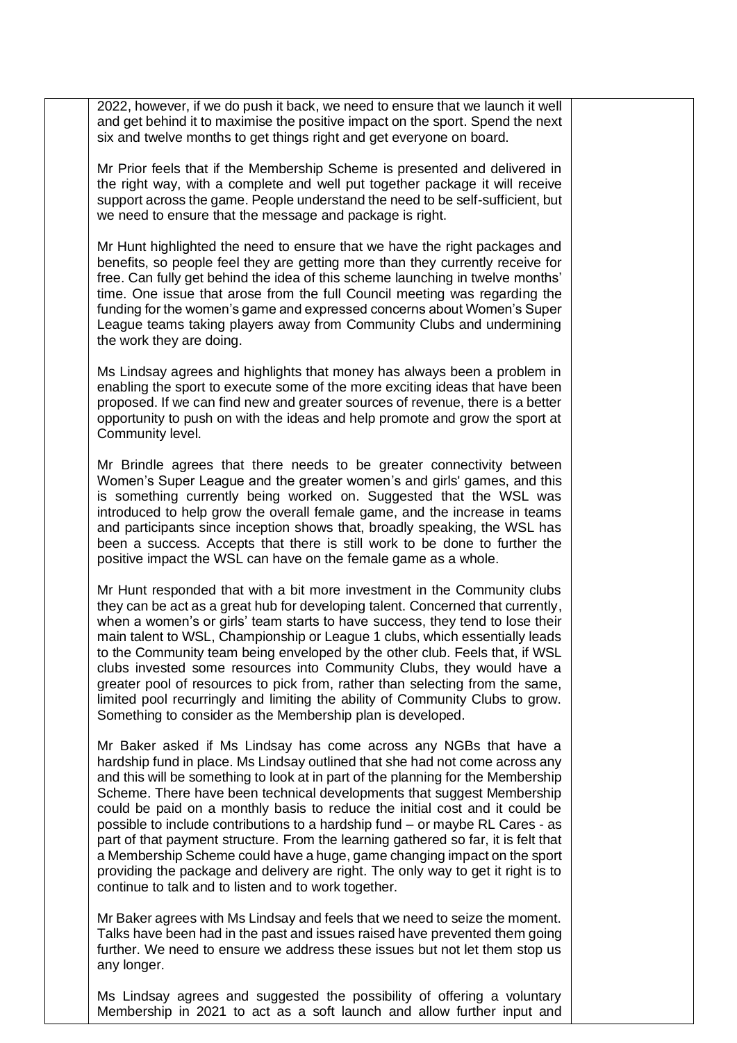2022, however, if we do push it back, we need to ensure that we launch it well and get behind it to maximise the positive impact on the sport. Spend the next six and twelve months to get things right and get everyone on board.

Mr Prior feels that if the Membership Scheme is presented and delivered in the right way, with a complete and well put together package it will receive support across the game. People understand the need to be self-sufficient, but we need to ensure that the message and package is right.

Mr Hunt highlighted the need to ensure that we have the right packages and benefits, so people feel they are getting more than they currently receive for free. Can fully get behind the idea of this scheme launching in twelve months' time. One issue that arose from the full Council meeting was regarding the funding for the women's game and expressed concerns about Women's Super League teams taking players away from Community Clubs and undermining the work they are doing.

Ms Lindsay agrees and highlights that money has always been a problem in enabling the sport to execute some of the more exciting ideas that have been proposed. If we can find new and greater sources of revenue, there is a better opportunity to push on with the ideas and help promote and grow the sport at Community level.

Mr Brindle agrees that there needs to be greater connectivity between Women's Super League and the greater women's and girls' games, and this is something currently being worked on. Suggested that the WSL was introduced to help grow the overall female game, and the increase in teams and participants since inception shows that, broadly speaking, the WSL has been a success. Accepts that there is still work to be done to further the positive impact the WSL can have on the female game as a whole.

Mr Hunt responded that with a bit more investment in the Community clubs they can be act as a great hub for developing talent. Concerned that currently, when a women's or girls' team starts to have success, they tend to lose their main talent to WSL, Championship or League 1 clubs, which essentially leads to the Community team being enveloped by the other club. Feels that, if WSL clubs invested some resources into Community Clubs, they would have a greater pool of resources to pick from, rather than selecting from the same, limited pool recurringly and limiting the ability of Community Clubs to grow. Something to consider as the Membership plan is developed.

Mr Baker asked if Ms Lindsay has come across any NGBs that have a hardship fund in place. Ms Lindsay outlined that she had not come across any and this will be something to look at in part of the planning for the Membership Scheme. There have been technical developments that suggest Membership could be paid on a monthly basis to reduce the initial cost and it could be possible to include contributions to a hardship fund – or maybe RL Cares - as part of that payment structure. From the learning gathered so far, it is felt that a Membership Scheme could have a huge, game changing impact on the sport providing the package and delivery are right. The only way to get it right is to continue to talk and to listen and to work together.

Mr Baker agrees with Ms Lindsay and feels that we need to seize the moment. Talks have been had in the past and issues raised have prevented them going further. We need to ensure we address these issues but not let them stop us any longer.

Ms Lindsay agrees and suggested the possibility of offering a voluntary Membership in 2021 to act as a soft launch and allow further input and